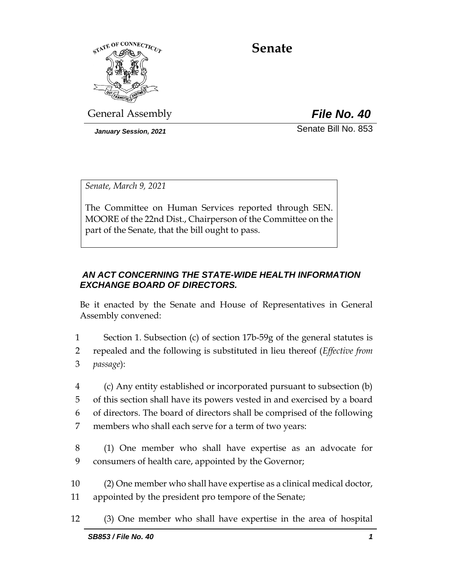

**Senate**

General Assembly *File No. 40*

*January Session, 2021* Senate Bill No. 853

*Senate, March 9, 2021*

The Committee on Human Services reported through SEN. MOORE of the 22nd Dist., Chairperson of the Committee on the part of the Senate, that the bill ought to pass.

## *AN ACT CONCERNING THE STATE-WIDE HEALTH INFORMATION EXCHANGE BOARD OF DIRECTORS.*

Be it enacted by the Senate and House of Representatives in General Assembly convened:

1 Section 1. Subsection (c) of section 17b-59g of the general statutes is 2 repealed and the following is substituted in lieu thereof (*Effective from*  3 *passage*):

 (c) Any entity established or incorporated pursuant to subsection (b) of this section shall have its powers vested in and exercised by a board of directors. The board of directors shall be comprised of the following members who shall each serve for a term of two years:

- 8 (1) One member who shall have expertise as an advocate for 9 consumers of health care, appointed by the Governor;
- 10 (2) One member who shall have expertise as a clinical medical doctor, 11 appointed by the president pro tempore of the Senate;
- 12 (3) One member who shall have expertise in the area of hospital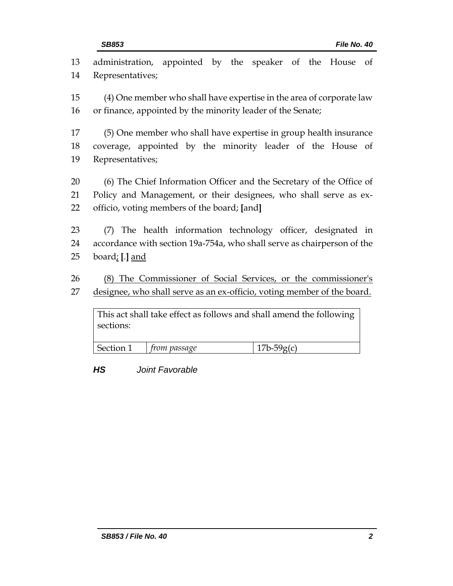| 13 | administration, appointed by the speaker of the House<br>of             |
|----|-------------------------------------------------------------------------|
| 14 | Representatives;                                                        |
| 15 | (4) One member who shall have expertise in the area of corporate law    |
|    |                                                                         |
| 16 | or finance, appointed by the minority leader of the Senate;             |
| 17 | (5) One member who shall have expertise in group health insurance       |
| 18 | coverage, appointed by the minority leader of the House of              |
| 19 | Representatives;                                                        |
|    |                                                                         |
| 20 | (6) The Chief Information Officer and the Secretary of the Office of    |
| 21 | Policy and Management, or their designees, who shall serve as ex-       |
| 22 | officio, voting members of the board; [and]                             |
|    |                                                                         |
| 23 | (7) The health information technology officer, designated in            |
| 24 | accordance with section 19a-754a, who shall serve as chairperson of the |
| 25 | board; [.] and                                                          |
| 26 |                                                                         |
|    | (8) The Commissioner of Social Services, or the commissioner's          |
| 27 | designee, who shall serve as an ex-officio, voting member of the board. |
|    | This act shall take effect as follows and shall amend the following     |
|    | sections:                                                               |
|    |                                                                         |
|    | Section 1<br>$17b-59g(c)$<br><i>from passage</i>                        |

*HS Joint Favorable*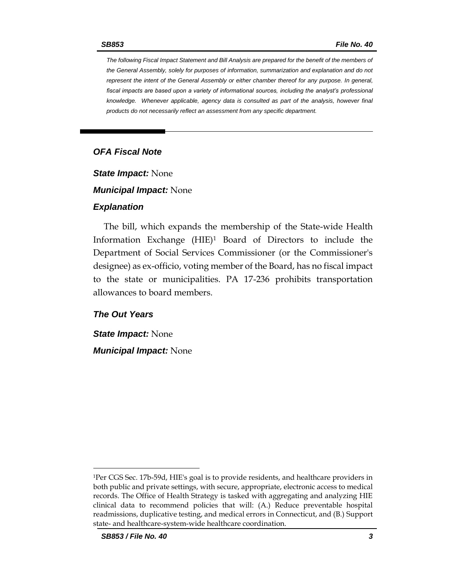*The following Fiscal Impact Statement and Bill Analysis are prepared for the benefit of the members of the General Assembly, solely for purposes of information, summarization and explanation and do not represent the intent of the General Assembly or either chamber thereof for any purpose. In general,*  fiscal impacts are based upon a variety of informational sources, including the analyst's professional *knowledge. Whenever applicable, agency data is consulted as part of the analysis, however final products do not necessarily reflect an assessment from any specific department.*

### *OFA Fiscal Note*

*State Impact:* None

*Municipal Impact:* None

#### *Explanation*

The bill, which expands the membership of the State-wide Health Information Exchange (HIE)<sup>1</sup> Board of Directors to include the Department of Social Services Commissioner (or the Commissioner's designee) as ex-officio, voting member of the Board, has no fiscal impact to the state or municipalities. PA 17-236 prohibits transportation allowances to board members.

### *The Out Years*

*State Impact:* None

*Municipal Impact:* None

 $\overline{a}$ 

<sup>1</sup>Per CGS Sec. 17b-59d, HIE's goal is to provide residents, and healthcare providers in both public and private settings, with secure, appropriate, electronic access to medical records. The Office of Health Strategy is tasked with aggregating and analyzing HIE clinical data to recommend policies that will: (A.) Reduce preventable hospital readmissions, duplicative testing, and medical errors in Connecticut, and (B.) Support state- and healthcare-system-wide healthcare coordination.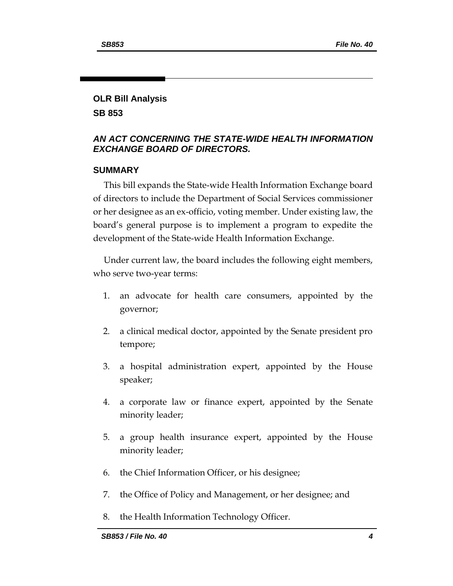# **OLR Bill Analysis**

**SB 853**

### *AN ACT CONCERNING THE STATE-WIDE HEALTH INFORMATION EXCHANGE BOARD OF DIRECTORS.*

## **SUMMARY**

This bill expands the State-wide Health Information Exchange board of directors to include the Department of Social Services commissioner or her designee as an ex-officio, voting member. Under existing law, the board's general purpose is to implement a program to expedite the development of the State-wide Health Information Exchange.

Under current law, the board includes the following eight members, who serve two-year terms:

- 1. an advocate for health care consumers, appointed by the governor;
- 2. a clinical medical doctor, appointed by the Senate president pro tempore;
- 3. a hospital administration expert, appointed by the House speaker;
- 4. a corporate law or finance expert, appointed by the Senate minority leader;
- 5. a group health insurance expert, appointed by the House minority leader;
- 6. the Chief Information Officer, or his designee;
- 7. the Office of Policy and Management, or her designee; and
- 8. the Health Information Technology Officer.